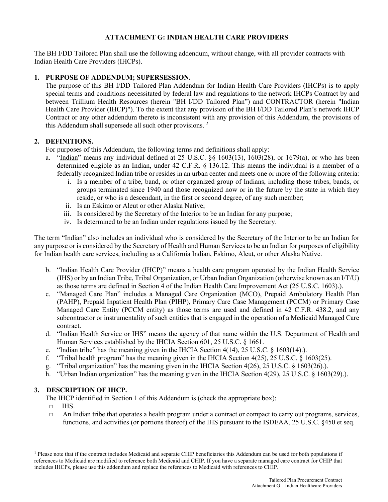# **ATTACHMENT G: INDIAN HEALTH CARE PROVIDERS**

The BH I/DD Tailored Plan shall use the following addendum, without change, with all provider contracts with Indian Health Care Providers (IHCPs).

### **1. PURPOSE OF ADDENDUM; SUPERSESSION.**

The purpose of this BH I/DD Tailored Plan Addendum for Indian Health Care Providers (IHCPs) is to apply special terms and conditions necessitated by federal law and regulations to the network IHCPs Contract by and between Trillium Health Resources (herein "BH I/DD Tailored Plan") and CONTRACTOR (herein "Indian Health Care Provider (IHCP)"). To the extent that any provision of the BH I/DD Tailored Plan's network IHCP Contract or any other addendum thereto is inconsistent with any provision of this Addendum, the provisions of this Addendum shall supersede all such other provisions. *<sup>1</sup>* 

### **2. DEFINITIONS.**

For purposes of this Addendum, the following terms and definitions shall apply:

- a. "Indian" means any individual defined at 25 U.S.C. §§ 1603(13), 1603(28), or 1679(a), or who has been determined eligible as an Indian, under 42 C.F.R. § 136.12. This means the individual is a member of a federally recognized Indian tribe or resides in an urban center and meets one or more of the following criteria:
	- i. Is a member of a tribe, band, or other organized group of Indians, including those tribes, bands, or groups terminated since 1940 and those recognized now or in the future by the state in which they reside, or who is a descendant, in the first or second degree, of any such member;
	- ii. Is an Eskimo or Aleut or other Alaska Native;
	- iii. Is considered by the Secretary of the Interior to be an Indian for any purpose;
	- iv. Is determined to be an Indian under regulations issued by the Secretary.

The term "Indian" also includes an individual who is considered by the Secretary of the Interior to be an Indian for any purpose or is considered by the Secretary of Health and Human Services to be an Indian for purposes of eligibility for Indian health care services, including as a California Indian, Eskimo, Aleut, or other Alaska Native.

- b. "Indian Health Care Provider (IHCP)" means a health care program operated by the Indian Health Service (IHS) or by an Indian Tribe, Tribal Organization, or Urban Indian Organization (otherwise known as an I/T/U) as those terms are defined in Section 4 of the Indian Health Care Improvement Act (25 U.S.C. 1603).).
- c. "Managed Care Plan" includes a Managed Care Organization (MCO), Prepaid Ambulatory Health Plan (PAHP), Prepaid Inpatient Health Plan (PIHP), Primary Care Case Management (PCCM) or Primary Case Managed Care Entity (PCCM entity) as those terms are used and defined in 42 C.F.R. 438.2, and any subcontractor or instrumentality of such entities that is engaged in the operation of a Medicaid Managed Care contract.
- d. "Indian Health Service or IHS" means the agency of that name within the U.S. Department of Health and Human Services established by the IHCIA Section 601, 25 U.S.C. § 1661.
- e. "Indian tribe" has the meaning given in the IHCIA Section  $4(14)$ , 25 U.S.C. § 1603(14).
- f. "Tribal health program" has the meaning given in the IHCIA Section  $4(25)$ , 25 U.S.C. § 1603(25).
- g. "Tribal organization" has the meaning given in the IHCIA Section 4(26), 25 U.S.C. § 1603(26).).
- h. "Urban Indian organization" has the meaning given in the IHCIA Section 4(29), 25 U.S.C. § 1603(29).).

### **3. DESCRIPTION OF IHCP.**

The IHCP identified in Section 1 of this Addendum is (check the appropriate box):

- $\Box$  IHS.
- □ An Indian tribe that operates a health program under a contract or compact to carry out programs, services, functions, and activities (or portions thereof) of the IHS pursuant to the ISDEAA, 25 U.S.C. §450 et seq.

<sup>1</sup> Please note that if the contract includes Medicaid and separate CHIP beneficiaries this Addendum can be used for both populations if references to Medicaid are modified to reference both Medicaid and CHIP. If you have a separate managed care contract for CHIP that includes IHCPs, please use this addendum and replace the references to Medicaid with references to CHIP.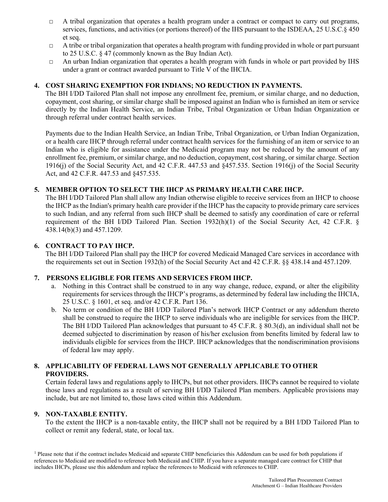- $\Box$  A tribal organization that operates a health program under a contract or compact to carry out programs, services, functions, and activities (or portions thereof) of the IHS pursuant to the ISDEAA, 25 U.S.C.§ 450 et seq.
- $\Box$  A tribe or tribal organization that operates a health program with funding provided in whole or part pursuant to 25 U.S.C. § 47 (commonly known as the Buy Indian Act).
- $\Box$  An urban Indian organization that operates a health program with funds in whole or part provided by IHS under a grant or contract awarded pursuant to Title V of the IHCIA.

## **4. COST SHARING EXEMPTION FOR INDIANS; NO REDUCTION IN PAYMENTS.**

The BH I/DD Tailored Plan shall not impose any enrollment fee, premium, or similar charge, and no deduction, copayment, cost sharing, or similar charge shall be imposed against an Indian who is furnished an item or service directly by the Indian Health Service, an Indian Tribe, Tribal Organization or Urban Indian Organization or through referral under contract health services.

Payments due to the Indian Health Service, an Indian Tribe, Tribal Organization, or Urban Indian Organization, or a health care IHCP through referral under contract health services for the furnishing of an item or service to an Indian who is eligible for assistance under the Medicaid program may not be reduced by the amount of any enrollment fee, premium, or similar charge, and no deduction, copayment, cost sharing, or similar charge. Section 1916(j) of the Social Security Act, and 42 C.F.R. 447.53 and §457.535. Section 1916(j) of the Social Security Act, and 42 C.F.R. 447.53 and §457.535.

# **5. MEMBER OPTION TO SELECT THE IHCP AS PRIMARY HEALTH CARE IHCP.**

The BH I/DD Tailored Plan shall allow any Indian otherwise eligible to receive services from an IHCP to choose the IHCP as the Indian's primary health care provider if the IHCP has the capacity to provide primary care services to such Indian, and any referral from such IHCP shall be deemed to satisfy any coordination of care or referral requirement of the BH I/DD Tailored Plan. Section 1932(h)(1) of the Social Security Act, 42 C.F.R. § 438.14(b)(3) and 457.1209.

## **6. CONTRACT TO PAY IHCP.**

The BH I/DD Tailored Plan shall pay the IHCP for covered Medicaid Managed Care services in accordance with the requirements set out in Section 1932(h) of the Social Security Act and 42 C.F.R. §§ 438.14 and 457.1209.

### **7. PERSONS ELIGIBLE FOR ITEMS AND SERVICES FROM IHCP.**

- a. Nothing in this Contract shall be construed to in any way change, reduce, expand, or alter the eligibility requirements for services through the IHCP's programs, as determined by federal law including the IHCIA, 25 U.S.C. § 1601, et seq. and/or 42 C.F.R. Part 136.
- b. No term or condition of the BH I/DD Tailored Plan's network IHCP Contract or any addendum thereto shall be construed to require the IHCP to serve individuals who are ineligible for services from the IHCP. The BH I/DD Tailored Plan acknowledges that pursuant to 45 C.F.R. § 80.3(d), an individual shall not be deemed subjected to discrimination by reason of his/her exclusion from benefits limited by federal law to individuals eligible for services from the IHCP. IHCP acknowledges that the nondiscrimination provisions of federal law may apply.

## **8. APPLICABILITY OF FEDERAL LAWS NOT GENERALLY APPLICABLE TO OTHER PROVIDERS.**

Certain federal laws and regulations apply to IHCPs, but not other providers. IHCPs cannot be required to violate those laws and regulations as a result of serving BH I/DD Tailored Plan members. Applicable provisions may include, but are not limited to, those laws cited within this Addendum.

### **9. NON-TAXABLE ENTITY.**

To the extent the IHCP is a non-taxable entity, the IHCP shall not be required by a BH I/DD Tailored Plan to collect or remit any federal, state, or local tax.

<sup>1</sup> Please note that if the contract includes Medicaid and separate CHIP beneficiaries this Addendum can be used for both populations if references to Medicaid are modified to reference both Medicaid and CHIP. If you have a separate managed care contract for CHIP that includes IHCPs, please use this addendum and replace the references to Medicaid with references to CHIP.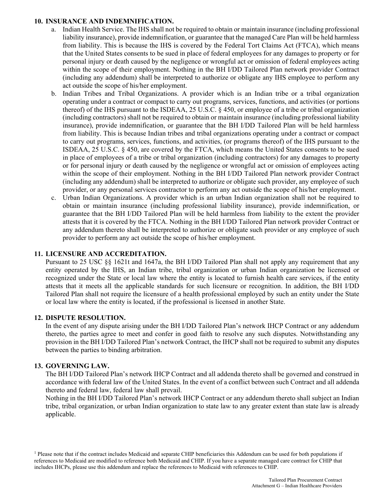### **10. INSURANCE AND INDEMNIFICATION.**

- a. Indian Health Service. The IHS shall not be required to obtain or maintain insurance (including professional liability insurance), provide indemnification, or guarantee that the managed Care Plan will be held harmless from liability. This is because the IHS is covered by the Federal Tort Claims Act (FTCA), which means that the United States consents to be sued in place of federal employees for any damages to property or for personal injury or death caused by the negligence or wrongful act or omission of federal employees acting within the scope of their employment. Nothing in the BH I/DD Tailored Plan network provider Contract (including any addendum) shall be interpreted to authorize or obligate any IHS employee to perform any act outside the scope of his/her employment.
- b. Indian Tribes and Tribal Organizations. A provider which is an Indian tribe or a tribal organization operating under a contract or compact to carry out programs, services, functions, and activities (or portions thereof) of the IHS pursuant to the ISDEAA, 25 U.S.C. § 450, or employee of a tribe or tribal organization (including contractors) shall not be required to obtain or maintain insurance (including professional liability insurance), provide indemnification, or guarantee that the BH I/DD Tailored Plan will be held harmless from liability. This is because Indian tribes and tribal organizations operating under a contract or compact to carry out programs, services, functions, and activities, (or programs thereof) of the IHS pursuant to the ISDEAA, 25 U.S.C. § 450, are covered by the FTCA, which means the United States consents to be sued in place of employees of a tribe or tribal organization (including contractors) for any damages to property or for personal injury or death caused by the negligence or wrongful act or omission of employees acting within the scope of their employment. Nothing in the BH I/DD Tailored Plan network provider Contract (including any addendum) shall be interpreted to authorize or obligate such provider, any employee of such provider, or any personal services contractor to perform any act outside the scope of his/her employment.
- c. Urban Indian Organizations. A provider which is an urban Indian organization shall not be required to obtain or maintain insurance (including professional liability insurance), provide indemnification, or guarantee that the BH I/DD Tailored Plan will be held harmless from liability to the extent the provider attests that it is covered by the FTCA. Nothing in the BH I/DD Tailored Plan network provider Contract or any addendum thereto shall be interpreted to authorize or obligate such provider or any employee of such provider to perform any act outside the scope of his/her employment.

# **11. LICENSURE AND ACCREDITATION.**

Pursuant to 25 USC §§ 1621t and 1647a, the BH I/DD Tailored Plan shall not apply any requirement that any entity operated by the IHS, an Indian tribe, tribal organization or urban Indian organization be licensed or recognized under the State or local law where the entity is located to furnish health care services, if the entity attests that it meets all the applicable standards for such licensure or recognition. In addition, the BH I/DD Tailored Plan shall not require the licensure of a health professional employed by such an entity under the State or local law where the entity is located, if the professional is licensed in another State.

### **12. DISPUTE RESOLUTION.**

In the event of any dispute arising under the BH I/DD Tailored Plan's network IHCP Contract or any addendum thereto, the parties agree to meet and confer in good faith to resolve any such disputes. Notwithstanding any provision in the BH I/DD Tailored Plan's network Contract, the IHCP shall not be required to submit any disputes between the parties to binding arbitration.

### **13. GOVERNING LAW.**

The BH I/DD Tailored Plan's network IHCP Contract and all addenda thereto shall be governed and construed in accordance with federal law of the United States. In the event of a conflict between such Contract and all addenda thereto and federal law, federal law shall prevail.

Nothing in the BH I/DD Tailored Plan's network IHCP Contract or any addendum thereto shall subject an Indian tribe, tribal organization, or urban Indian organization to state law to any greater extent than state law is already applicable.

<sup>1</sup> Please note that if the contract includes Medicaid and separate CHIP beneficiaries this Addendum can be used for both populations if references to Medicaid are modified to reference both Medicaid and CHIP. If you have a separate managed care contract for CHIP that includes IHCPs, please use this addendum and replace the references to Medicaid with references to CHIP.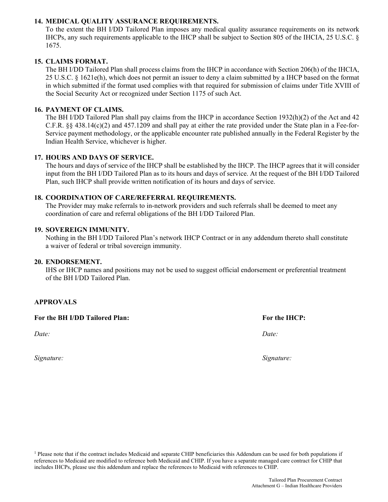# **14. MEDICAL QUALITY ASSURANCE REQUIREMENTS.**

To the extent the BH I/DD Tailored Plan imposes any medical quality assurance requirements on its network IHCPs, any such requirements applicable to the IHCP shall be subject to Section 805 of the IHCIA, 25 U.S.C. § 1675.

## **15. CLAIMS FORMAT.**

The BH I/DD Tailored Plan shall process claims from the IHCP in accordance with Section 206(h) of the IHCIA, 25 U.S.C. § 1621e(h), which does not permit an issuer to deny a claim submitted by a IHCP based on the format in which submitted if the format used complies with that required for submission of claims under Title XVIII of the Social Security Act or recognized under Section 1175 of such Act.

### **16. PAYMENT OF CLAIMS.**

The BH I/DD Tailored Plan shall pay claims from the IHCP in accordance Section 1932(h)(2) of the Act and 42 C.F.R. §§ 438.14(c)(2) and 457.1209 and shall pay at either the rate provided under the State plan in a Fee-for-Service payment methodology, or the applicable encounter rate published annually in the Federal Register by the Indian Health Service, whichever is higher.

### **17. HOURS AND DAYS OF SERVICE.**

The hours and days of service of the IHCP shall be established by the IHCP. The IHCP agrees that it will consider input from the BH I/DD Tailored Plan as to its hours and days of service. At the request of the BH I/DD Tailored Plan, such IHCP shall provide written notification of its hours and days of service.

### **18. COORDINATION OF CARE/REFERRAL REQUIREMENTS.**

The Provider may make referrals to in-network providers and such referrals shall be deemed to meet any coordination of care and referral obligations of the BH I/DD Tailored Plan.

### **19. SOVEREIGN IMMUNITY.**

Nothing in the BH I/DD Tailored Plan's network IHCP Contract or in any addendum thereto shall constitute a waiver of federal or tribal sovereign immunity.

### **20. ENDORSEMENT.**

IHS or IHCP names and positions may not be used to suggest official endorsement or preferential treatment of the BH I/DD Tailored Plan.

# **APPROVALS**

**For the BH I/DD Tailored Plan: For the IHCP:**

*Signature: Signature:*

*Date: Date:*